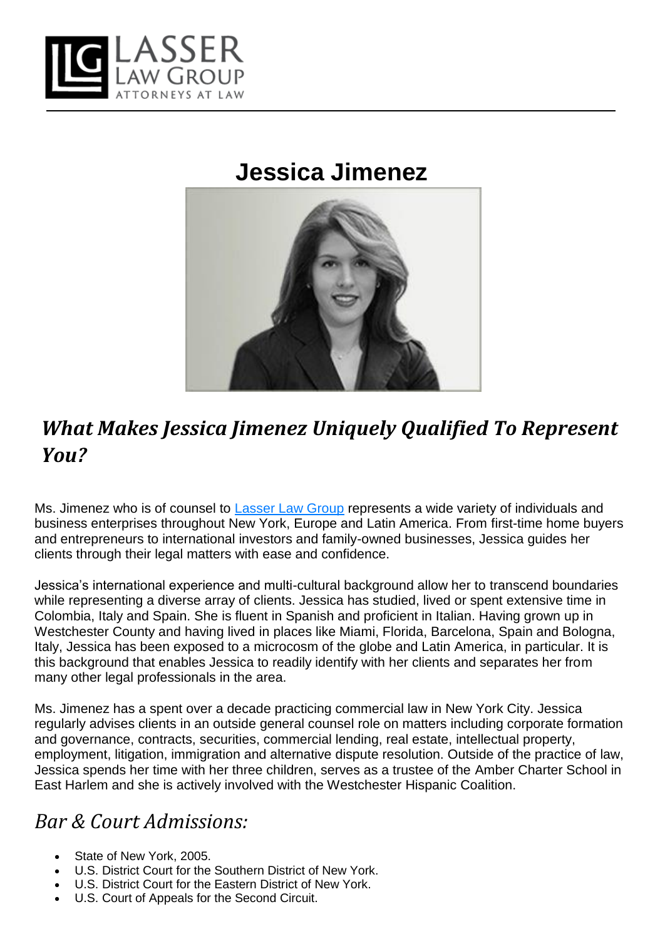

# **Jessica Jimenez**



## *What Makes Jessica Jimenez Uniquely Qualified To Represent You?*

Ms. Jimenez who is of counsel to [Lasser](https://lasserlg.com/firm-overview/) Law Group represents a wide variety of individuals and business enterprises throughout New York, Europe and Latin America. From first-time home buyers and entrepreneurs to international investors and family-owned businesses, Jessica guides her clients through their legal matters with ease and confidence.

Jessica's international experience and multi-cultural background allow her to transcend boundaries while representing a diverse array of clients. Jessica has studied, lived or spent extensive time in Colombia, Italy and Spain. She is fluent in Spanish and proficient in Italian. Having grown up in Westchester County and having lived in places like Miami, Florida, Barcelona, Spain and Bologna, Italy, Jessica has been exposed to a microcosm of the globe and Latin America, in particular. It is this background that enables Jessica to readily identify with her clients and separates her from many other legal professionals in the area.

Ms. Jimenez has a spent over a decade practicing commercial law in New York City. Jessica regularly advises clients in an outside general counsel role on matters including corporate formation and governance, contracts, securities, commercial lending, real estate, intellectual property, employment, litigation, immigration and alternative dispute resolution. Outside of the practice of law, Jessica spends her time with her three children, serves as a trustee of the Amber Charter School in East Harlem and she is actively involved with the Westchester Hispanic Coalition.

#### *Bar & Court Admissions:*

- State of New York, 2005.
- U.S. District Court for the Southern District of New York.
- U.S. District Court for the Eastern District of New York.
- U.S. Court of Appeals for the Second Circuit.